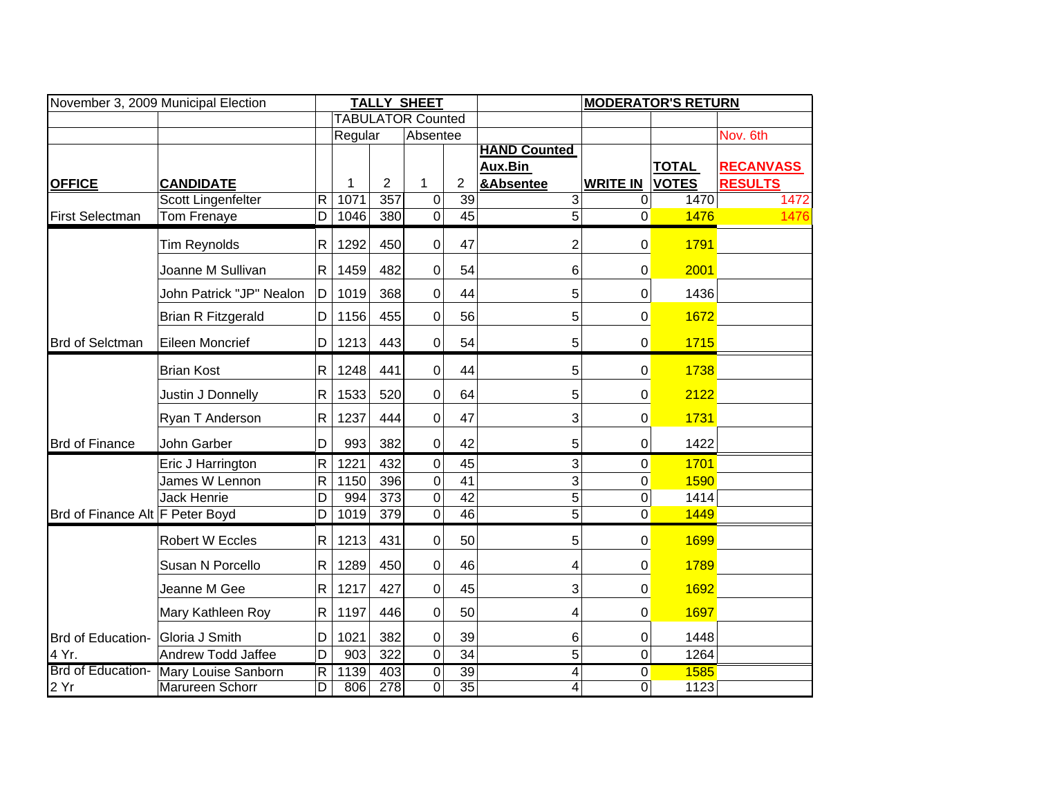| November 3, 2009 Municipal Election |                            |                         |         |                          | <b>TALLY SHEET</b> |                         | <b>MODERATOR'S RETURN</b>      |                  |                              |                                    |
|-------------------------------------|----------------------------|-------------------------|---------|--------------------------|--------------------|-------------------------|--------------------------------|------------------|------------------------------|------------------------------------|
|                                     |                            |                         |         | <b>TABULATOR Counted</b> |                    |                         |                                |                  |                              |                                    |
|                                     |                            |                         | Regular |                          | Absentee           |                         |                                |                  |                              | Nov. 6th                           |
|                                     |                            |                         |         |                          |                    |                         | <b>HAND Counted</b><br>Aux.Bin |                  |                              |                                    |
| <b>OFFICE</b>                       | <b>CANDIDATE</b>           |                         | 1       | $\overline{2}$           | 1                  | $\overline{\mathbf{c}}$ | &Absentee                      | <b>WRITE IN</b>  | <b>TOTAL</b><br><b>VOTES</b> | <b>RECANVASS</b><br><b>RESULTS</b> |
|                                     | Scott Lingenfelter         | $\mathsf R$             | 1071    | 357                      | 0                  | 39                      | 3                              | 0                | 1470                         | 1472                               |
| <b>First Selectman</b>              | Tom Frenaye                | $\overline{\mathsf{D}}$ | 1046    | 380                      | $\overline{0}$     | $\overline{45}$         | $\overline{5}$                 | 0                | 1476                         | 1476                               |
|                                     | Tim Reynolds               | R                       | 1292    | 450                      | 0                  | 47                      | $\overline{2}$                 | 0                | 1791                         |                                    |
|                                     | Joanne M Sullivan          | R.                      | 1459    | 482                      | 0                  | 54                      | 6                              | 0                | 2001                         |                                    |
|                                     | John Patrick "JP" Nealon   | D                       | 1019    | 368                      | 0                  | 44                      | 5                              | 0                | 1436                         |                                    |
|                                     | <b>Brian R Fitzgerald</b>  | D                       | 1156    | 455                      | 0                  | 56                      | 5                              | $\pmb{0}$        | 1672                         |                                    |
| <b>Brd of Selctman</b>              | Eileen Moncrief            | D                       | 1213    | 443                      | 0                  | 54                      | 5                              | 0                | 1715                         |                                    |
|                                     | <b>Brian Kost</b>          | $\mathsf{R}$            | 1248    | 441                      | 0                  | 44                      | 5                              | 0                | 1738                         |                                    |
|                                     | Justin J Donnelly          | R                       | 1533    | 520                      | 0                  | 64                      | 5                              | 0                | 2122                         |                                    |
|                                     | Ryan T Anderson            | R                       | 1237    | 444                      | 0                  | 47                      | 3                              | $\mathbf 0$      | 1731                         |                                    |
| <b>Brd of Finance</b>               | John Garber                | D                       | 993     | 382                      | 0                  | 42                      | 5                              | 0                | 1422                         |                                    |
|                                     | Eric J Harrington          | R                       | 1221    | 432                      | 0                  | 45                      | 3                              | $\boldsymbol{0}$ | 1701                         |                                    |
|                                     | James W Lennon             | R                       | 1150    | 396                      | $\mathbf 0$        | 41                      | 3                              | $\mathbf 0$      | 1590                         |                                    |
|                                     | Jack Henrie                | D                       | 994     | $\overline{373}$         | $\mathbf 0$        | 42                      | 5                              | $\pmb{0}$        | 1414                         |                                    |
| Brd of Finance Alt F Peter Boyd     |                            | D                       | 1019    | 379                      | $\overline{0}$     | 46                      | $\overline{5}$                 | $\mathbf 0$      | 1449                         |                                    |
|                                     | <b>Robert W Eccles</b>     | R                       | 1213    | 431                      | 0                  | 50                      | 5                              | 0                | 1699                         |                                    |
|                                     | Susan N Porcello           | R                       | 1289    | 450                      | 0                  | 46                      | 4                              | 0                | 1789                         |                                    |
|                                     | Jeanne M Gee               | $\mathsf{R}$            | 1217    | 427                      | 0                  | 45                      | 3                              | $\boldsymbol{0}$ | 1692                         |                                    |
|                                     | Mary Kathleen Roy          | R.                      | 1197    | 446                      | 0                  | 50                      | 4                              | $\mathbf 0$      | 1697                         |                                    |
| Brd of Education-                   | Gloria J Smith             | D                       | 1021    | 382                      | 0                  | 39                      | 6                              | 0                | 1448                         |                                    |
| 4 Yr.                               | Andrew Todd Jaffee         | D                       | 903     | 322                      | 0                  | 34                      | 5                              | $\mathbf 0$      | 1264                         |                                    |
| Brd of Education-                   | <b>Mary Louise Sanborn</b> | R                       | 1139    | 403                      | 0                  | 39                      | 4                              | 0                | 1585                         |                                    |
| 2 Yr                                | <b>Marureen Schorr</b>     | $\overline{D}$          | 806     | 278                      | $\overline{0}$     | $\overline{35}$         | 4                              | $\overline{0}$   | 1123                         |                                    |